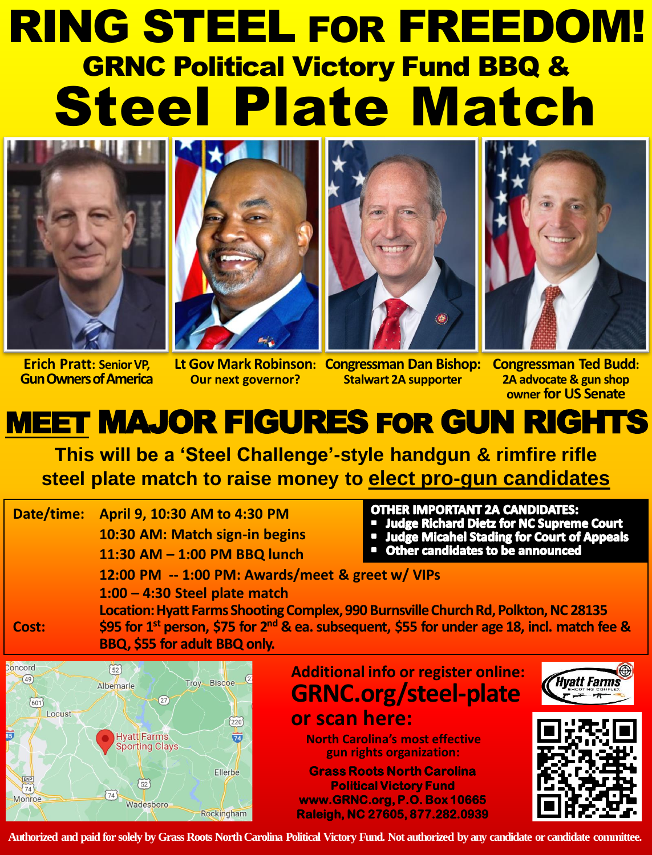# RING STEEL FOR FREEDOM! GRNC Political Victory Fund BBQ & Steel Plate Match





**Erich Pratt: Senior VP, Gun Owners of America**

**Our next governor?**





**Stalwart 2A supporter**

Lt Gov Mark Robinson: Congressman Dan Bishop: Congressman Ted Budd: **2A advocate & gun shop owner for US Senate**

## MEET MAJOR FIGURES FOR GUN RIGHTS

**This will be a 'Steel Challenge'-style handgun & rimfire rifle steel plate match to raise money to elect pro-gun candidates**

**Date/time: April 9, 10:30 AM to 4:30 PM 10:30 AM: Match sign-in begins 11:30 AM – 1:00 PM BBQ lunch** 

#### **OTHER IMPORTANT 2A CANDIDATES:**

- **Judge Richard Dietz for NC Supreme Court**
- Judge Micahel Stading for Court of Appeals
- **Other candidates to be announced**

**12:00 PM -- 1:00 PM: Awards/meet & greet w/ VIPs** 

**1:00 – 4:30 Steel plate match** 

**Location: Hyatt Farms Shooting Complex, 990 Burnsville Church Rd, Polkton, NC 28135 Cost: \$95 for 1st person, \$75 for 2nd & ea. subsequent, \$55 for under age 18, incl. match fee & BBQ, \$55 for adult BBQ only.**



**Additional info or register online: GRNC.org/steel-plate or scan here:**

**North Carolina's most effective gun rights organization:**

**Grass Roots North Carolina Political Victory Fund www.GRNC.org, P.O. Box 10665 Raleigh, NC 27605, 877.282.0939** 





**Authorized and paid for solely by Grass Roots North Carolina Political Victory Fund. Not authorized by any candidate or candidate committee.**